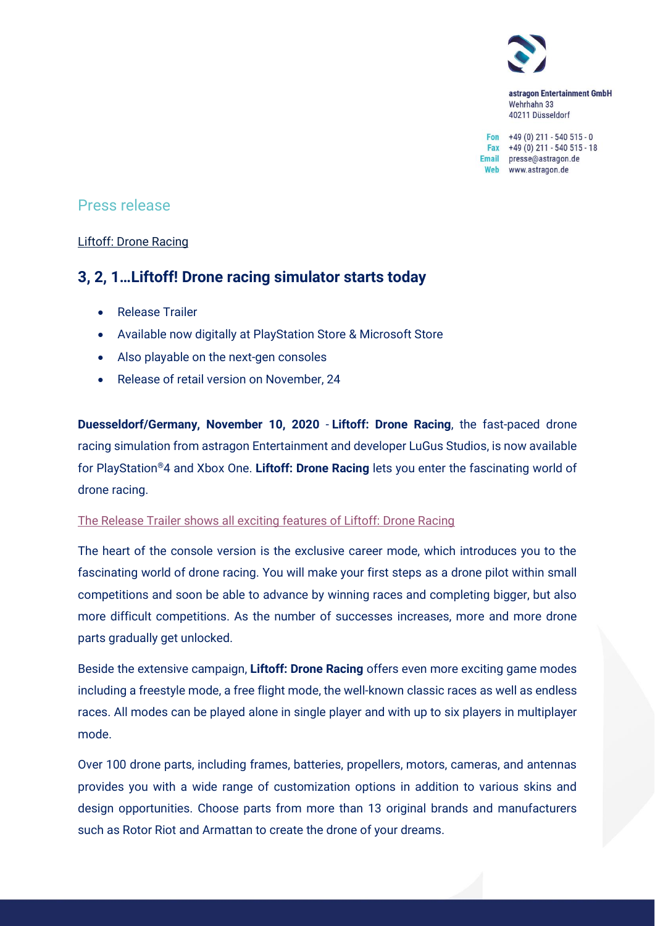

astragon Entertainment GmbH Wehrhahn 33 40211 Düsseldorf

Fon  $+49(0)$  211 - 540 515 - 0 Fax +49 (0) 211 - 540 515 - 18 Email presse@astragon.de Web www.astragon.de

## Press release

## Liftoff: Drone Racing

# **3, 2, 1…Liftoff! Drone racing simulator starts today**

- Release Trailer
- Available now digitally at PlayStation Store & Microsoft Store
- Also playable on the next-gen consoles
- Release of retail version on November, 24

**Duesseldorf/Germany, November 10, 2020** - **Liftoff: Drone Racing**, the fast-paced drone racing simulation from astragon Entertainment and developer LuGus Studios, is now available for PlayStation®4 and Xbox One. **Liftoff: Drone Racing** lets you enter the fascinating world of drone racing.

### [The Release Trailer shows all exciting features of Liftoff: Drone Racing](https://youtu.be/2g91uxK6p6k)

The heart of the console version is the exclusive career mode, which introduces you to the fascinating world of drone racing. You will make your first steps as a drone pilot within small competitions and soon be able to advance by winning races and completing bigger, but also more difficult competitions. As the number of successes increases, more and more drone parts gradually get unlocked.

Beside the extensive campaign, **Liftoff: Drone Racing** offers even more exciting game modes including a freestyle mode, a free flight mode, the well-known classic races as well as endless races. All modes can be played alone in single player and with up to six players in multiplayer mode.

Over 100 drone parts, including frames, batteries, propellers, motors, cameras, and antennas provides you with a wide range of customization options in addition to various skins and design opportunities. Choose parts from more than 13 original brands and manufacturers such as Rotor Riot and Armattan to create the drone of your dreams.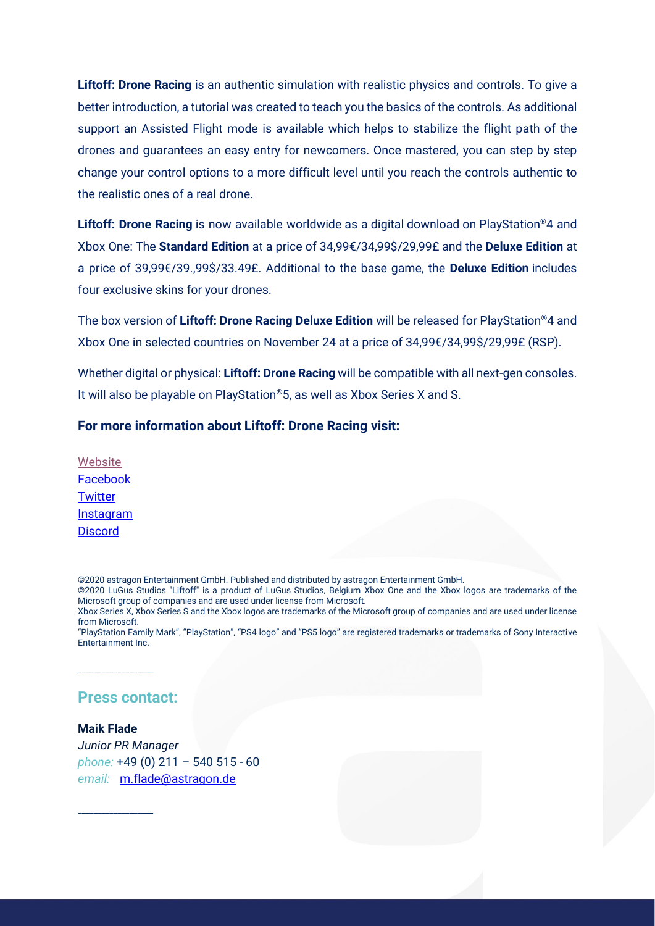**Liftoff: Drone Racing** is an authentic simulation with realistic physics and controls. To give a better introduction, a tutorial was created to teach you the basics of the controls. As additional support an Assisted Flight mode is available which helps to stabilize the flight path of the drones and guarantees an easy entry for newcomers. Once mastered, you can step by step change your control options to a more difficult level until you reach the controls authentic to the realistic ones of a real drone.

**Liftoff: Drone Racing** is now available worldwide as a digital download on PlayStation®4 and Xbox One: The **Standard Edition** at a price of 34,99€/34,99\$/29,99£ and the **Deluxe Edition** at a price of 39,99€/39.,99\$/33.49£. Additional to the base game, the **Deluxe Edition** includes four exclusive skins for your drones.

The box version of **Liftoff: Drone Racing Deluxe Edition** will be released for PlayStation®4 and Xbox One in selected countries on November 24 at a price of 34,99€/34,99\$/29,99£ (RSP).

Whether digital or physical: **Liftoff: Drone Racing** will be compatible with all next-gen consoles. It will also be playable on PlayStation®5, as well as Xbox Series X and S.

### **For more information about Liftoff: Drone Racing visit:**

[Website](https://www.liftoff-game.com/) [Facebook](https://www.facebook.com/LiftoffConsole/) **[Twitter](https://twitter.com/Liftoffconsole)** [Instagram](https://www.instagram.com/Liftoffconsole/) **[Discord](https://discord.com/invite/astragon)** 

©2020 astragon Entertainment GmbH. Published and distributed by astragon Entertainment GmbH.

©2020 LuGus Studios "Liftoff" is a product of LuGus Studios, Belgium Xbox One and the Xbox logos are trademarks of the Microsoft group of companies and are used under license from Microsoft.

"PlayStation Family Mark", "PlayStation", "PS4 logo" and "PS5 logo" are registered trademarks or trademarks of Sony Interactive Entertainment Inc.

## **Press contact:**

\_\_\_\_\_\_\_\_\_\_\_\_\_\_\_\_\_\_\_

\_\_\_\_\_\_\_\_\_\_\_\_\_\_\_\_\_\_\_

**Maik Flade** *Junior PR Manager phone:* +49 (0) 211 – 540 515 - 60 *email:* [m.flade@astragon.de](mailto:m.flade@astragon.de)

Xbox Series X, Xbox Series S and the Xbox logos are trademarks of the Microsoft group of companies and are used under license from Microsoft.